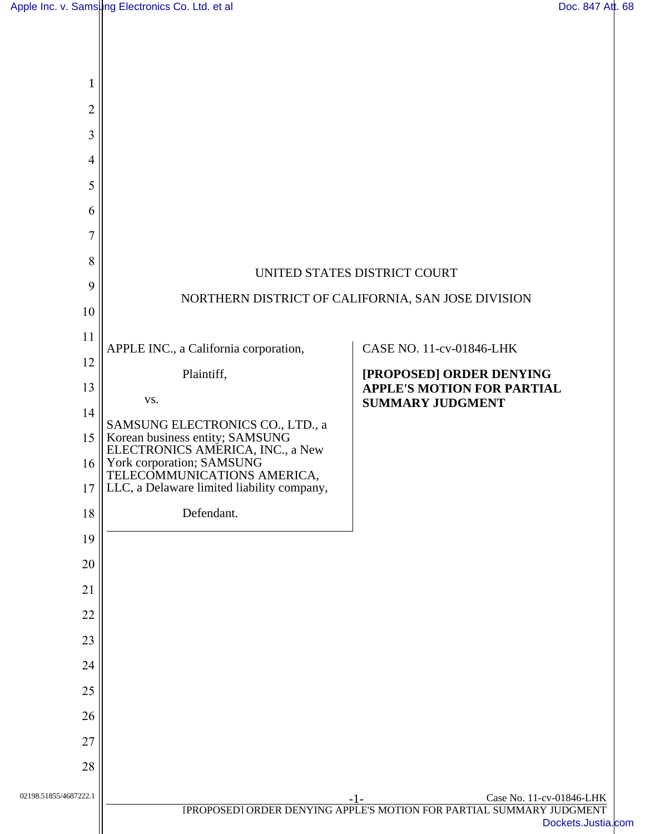| 1                     |                                                                                                        |                                                                                                           |
|-----------------------|--------------------------------------------------------------------------------------------------------|-----------------------------------------------------------------------------------------------------------|
| $\overline{2}$        |                                                                                                        |                                                                                                           |
| 3                     |                                                                                                        |                                                                                                           |
| $\overline{4}$        |                                                                                                        |                                                                                                           |
| 5                     |                                                                                                        |                                                                                                           |
| 6                     |                                                                                                        |                                                                                                           |
| $\tau$                |                                                                                                        |                                                                                                           |
| 8                     |                                                                                                        | UNITED STATES DISTRICT COURT                                                                              |
| 9                     | NORTHERN DISTRICT OF CALIFORNIA, SAN JOSE DIVISION                                                     |                                                                                                           |
| 10                    |                                                                                                        |                                                                                                           |
| 11                    | APPLE INC., a California corporation,                                                                  | CASE NO. 11-cv-01846-LHK                                                                                  |
| 12                    | Plaintiff,                                                                                             | [PROPOSED] ORDER DENYING                                                                                  |
| 13                    | VS.                                                                                                    | <b>APPLE'S MOTION FOR PARTIAL</b><br><b>SUMMARY JUDGMENT</b>                                              |
| 14                    | SAMSUNG ELECTRONICS CO., LTD., a                                                                       |                                                                                                           |
| 15                    | Korean business entity; SAMSUNG<br>ELECTRONICS AMERICA, INC., a New                                    |                                                                                                           |
| 16<br>17              | York corporation; SAMSUNG<br>TELECOMMUNICATIONS AMERICA,<br>LLC, a Delaware limited liability company, |                                                                                                           |
| 18                    | Defendant.                                                                                             |                                                                                                           |
| 19                    |                                                                                                        |                                                                                                           |
| 20                    |                                                                                                        |                                                                                                           |
| 21                    |                                                                                                        |                                                                                                           |
| 22                    |                                                                                                        |                                                                                                           |
| 23                    |                                                                                                        |                                                                                                           |
| 24                    |                                                                                                        |                                                                                                           |
| 25                    |                                                                                                        |                                                                                                           |
| 26                    |                                                                                                        |                                                                                                           |
| 27                    |                                                                                                        |                                                                                                           |
| 28                    |                                                                                                        |                                                                                                           |
| 02198.51855/4687222.1 |                                                                                                        | Case No. 11-cv-01846-LHK<br>$-1-$<br>[PROPOSED] ORDER DENYING APPLE'S MOTION FOR PARTIAL SUMMARY JUDGMENT |
|                       |                                                                                                        | Dockets.Justia.com                                                                                        |